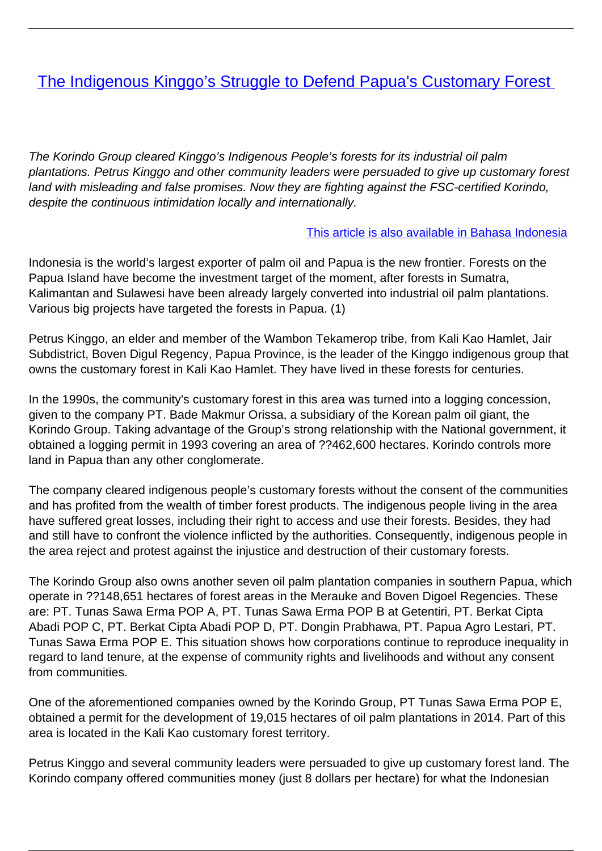# [The Indigenous Kinggo's Struggle to Defend Papua's Customary Forest](/bulletin-articles/the-indigenous-kinggos-struggle-to-defend-papuas-customary-forest)

The Korindo Group cleared Kinggo's Indigenous People's forests for its industrial oil palm plantations. Petrus Kinggo and other community leaders were persuaded to give up customary forest land with misleading and false promises. Now they are fighting against the FSC-certified Korindo, despite the continuous intimidation locally and internationally.

#### [This article is also available in Bahasa Indonesia](https://wrm.org.uy/articles-from-the-wrm-bulletin/section1/bahasa-indonesia-petrus-kinggo-kambenap-pembela-hutan-adat-papua/)

Indonesia is the world's largest exporter of palm oil and Papua is the new frontier. Forests on the Papua Island have become the investment target of the moment, after forests in Sumatra, Kalimantan and Sulawesi have been already largely converted into industrial oil palm plantations. Various big projects have targeted the forests in Papua. (1)

Petrus Kinggo, an elder and member of the Wambon Tekamerop tribe, from Kali Kao Hamlet, Jair Subdistrict, Boven Digul Regency, Papua Province, is the leader of the Kinggo indigenous group that owns the customary forest in Kali Kao Hamlet. They have lived in these forests for centuries.

In the 1990s, the community's customary forest in this area was turned into a logging concession, given to the company PT. Bade Makmur Orissa, a subsidiary of the Korean palm oil giant, the Korindo Group. Taking advantage of the Group's strong relationship with the National government, it obtained a logging permit in 1993 covering an area of ??462,600 hectares. Korindo controls more land in Papua than any other conglomerate.

The company cleared indigenous people's customary forests without the consent of the communities and has profited from the wealth of timber forest products. The indigenous people living in the area have suffered great losses, including their right to access and use their forests. Besides, they had and still have to confront the violence inflicted by the authorities. Consequently, indigenous people in the area reject and protest against the injustice and destruction of their customary forests.

The Korindo Group also owns another seven oil palm plantation companies in southern Papua, which operate in ??148,651 hectares of forest areas in the Merauke and Boven Digoel Regencies. These are: PT. Tunas Sawa Erma POP A, PT. Tunas Sawa Erma POP B at Getentiri, PT. Berkat Cipta Abadi POP C, PT. Berkat Cipta Abadi POP D, PT. Dongin Prabhawa, PT. Papua Agro Lestari, PT. Tunas Sawa Erma POP E. This situation shows how corporations continue to reproduce inequality in regard to land tenure, at the expense of community rights and livelihoods and without any consent from communities.

One of the aforementioned companies owned by the Korindo Group, PT Tunas Sawa Erma POP E, obtained a permit for the development of 19,015 hectares of oil palm plantations in 2014. Part of this area is located in the Kali Kao customary forest territory.

Petrus Kinggo and several community leaders were persuaded to give up customary forest land. The Korindo company offered communities money (just 8 dollars per hectare) for what the Indonesian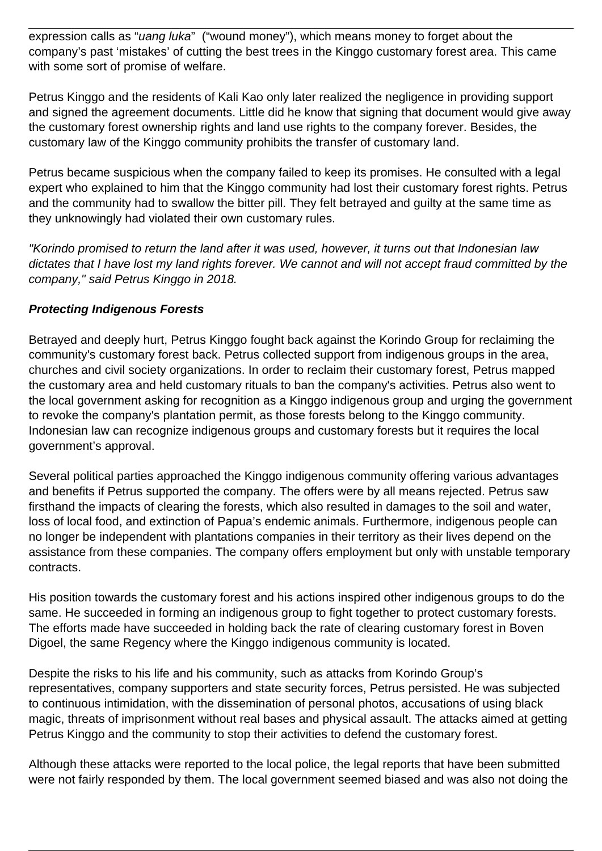expression calls as "*uang luka*" ("wound money"), which means money to forget about the company's past 'mistakes' of cutting the best trees in the Kinggo customary forest area. This came with some sort of promise of welfare.

Petrus Kinggo and the residents of Kali Kao only later realized the negligence in providing support and signed the agreement documents. Little did he know that signing that document would give away the customary forest ownership rights and land use rights to the company forever. Besides, the customary law of the Kinggo community prohibits the transfer of customary land.

Petrus became suspicious when the company failed to keep its promises. He consulted with a legal expert who explained to him that the Kinggo community had lost their customary forest rights. Petrus and the community had to swallow the bitter pill. They felt betrayed and guilty at the same time as they unknowingly had violated their own customary rules.

"Korindo promised to return the land after it was used, however, it turns out that Indonesian law dictates that I have lost my land rights forever. We cannot and will not accept fraud committed by the company," said Petrus Kinggo in 2018.

#### **Protecting Indigenous Forests**

Betrayed and deeply hurt, Petrus Kinggo fought back against the Korindo Group for reclaiming the community's customary forest back. Petrus collected support from indigenous groups in the area, churches and civil society organizations. In order to reclaim their customary forest, Petrus mapped the customary area and held customary rituals to ban the company's activities. Petrus also went to the local government asking for recognition as a Kinggo indigenous group and urging the government to revoke the company's plantation permit, as those forests belong to the Kinggo community. Indonesian law can recognize indigenous groups and customary forests but it requires the local government's approval.

Several political parties approached the Kinggo indigenous community offering various advantages and benefits if Petrus supported the company. The offers were by all means rejected. Petrus saw firsthand the impacts of clearing the forests, which also resulted in damages to the soil and water, loss of local food, and extinction of Papua's endemic animals. Furthermore, indigenous people can no longer be independent with plantations companies in their territory as their lives depend on the assistance from these companies. The company offers employment but only with unstable temporary contracts.

His position towards the customary forest and his actions inspired other indigenous groups to do the same. He succeeded in forming an indigenous group to fight together to protect customary forests. The efforts made have succeeded in holding back the rate of clearing customary forest in Boven Digoel, the same Regency where the Kinggo indigenous community is located.

Despite the risks to his life and his community, such as attacks from Korindo Group's representatives, company supporters and state security forces, Petrus persisted. He was subjected to continuous intimidation, with the dissemination of personal photos, accusations of using black magic, threats of imprisonment without real bases and physical assault. The attacks aimed at getting Petrus Kinggo and the community to stop their activities to defend the customary forest.

Although these attacks were reported to the local police, the legal reports that have been submitted were not fairly responded by them. The local government seemed biased and was also not doing the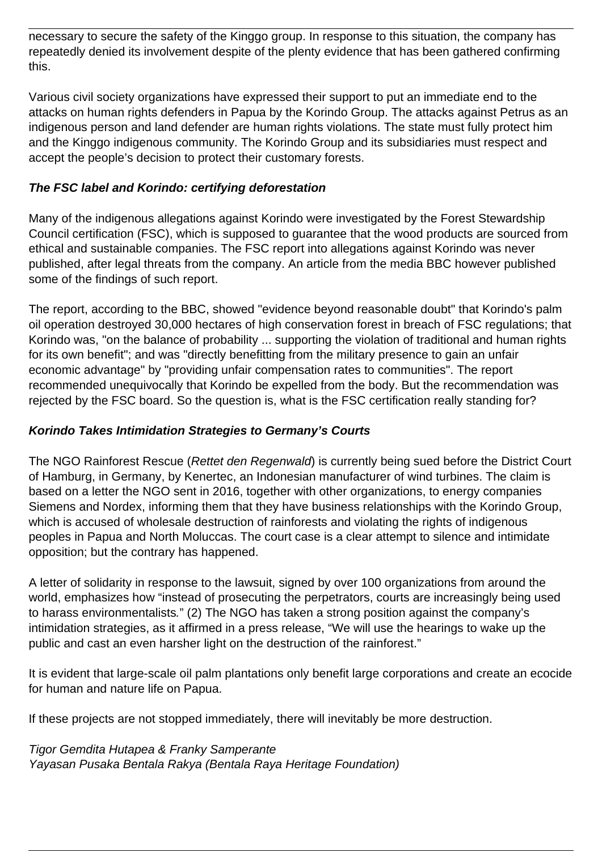necessary to secure the safety of the Kinggo group. In response to this situation, the company has repeatedly denied its involvement despite of the plenty evidence that has been gathered confirming this.

Various civil society organizations have expressed their support to put an immediate end to the attacks on human rights defenders in Papua by the Korindo Group. The attacks against Petrus as an indigenous person and land defender are human rights violations. The state must fully protect him and the Kinggo indigenous community. The Korindo Group and its subsidiaries must respect and accept the people's decision to protect their customary forests.

### **The FSC label and Korindo: certifying deforestation**

Many of the indigenous allegations against Korindo were investigated by the Forest Stewardship Council certification (FSC), which is supposed to guarantee that the wood products are sourced from ethical and sustainable companies. The FSC report into allegations against Korindo was never published, after legal threats from the company. An article from the media BBC however published some of the findings of such report.

The report, according to the BBC, showed "evidence beyond reasonable doubt" that Korindo's palm oil operation destroyed 30,000 hectares of high conservation forest in breach of FSC regulations; that Korindo was, "on the balance of probability ... supporting the violation of traditional and human rights for its own benefit"; and was "directly benefitting from the military presence to gain an unfair economic advantage" by "providing unfair compensation rates to communities". The report recommended unequivocally that Korindo be expelled from the body. But the recommendation was rejected by the FSC board. So the question is, what is the FSC certification really standing for?

## **Korindo Takes Intimidation Strategies to Germany's Courts**

The NGO Rainforest Rescue (Rettet den Regenwald) is currently being sued before the District Court of Hamburg, in Germany, by Kenertec, an Indonesian manufacturer of wind turbines. The claim is based on a letter the NGO sent in 2016, together with other organizations, to energy companies Siemens and Nordex, informing them that they have business relationships with the Korindo Group, which is accused of wholesale destruction of rainforests and violating the rights of indigenous peoples in Papua and North Moluccas. The court case is a clear attempt to silence and intimidate opposition; but the contrary has happened.

A letter of solidarity in response to the lawsuit, signed by over 100 organizations from around the world, emphasizes how "instead of prosecuting the perpetrators, courts are increasingly being used to harass environmentalists." (2) The NGO has taken a strong position against the company's intimidation strategies, as it affirmed in a press release, "We will use the hearings to wake up the public and cast an even harsher light on the destruction of the rainforest."

It is evident that large-scale oil palm plantations only benefit large corporations and create an ecocide for human and nature life on Papua.

If these projects are not stopped immediately, there will inevitably be more destruction.

Tigor Gemdita Hutapea & Franky Samperante Yayasan Pusaka Bentala Rakya (Bentala Raya Heritage Foundation)